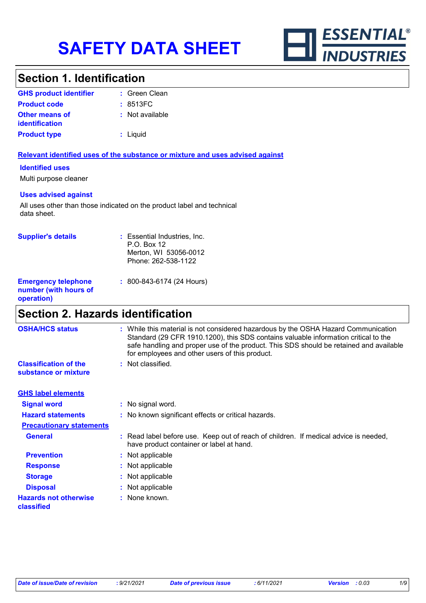

### **Section 1. Identification**

| <b>GHS product identifier</b>                  | : Green Clean   |
|------------------------------------------------|-----------------|
| <b>Product code</b>                            | : 8513FC        |
| <b>Other means of</b><br><i>identification</i> | : Not available |
| <b>Product type</b>                            | : Liquid        |

#### **Relevant identified uses of the substance or mixture and uses advised against**

#### **Identified uses**

Multi purpose cleaner

#### **Uses advised against**

All uses other than those indicated on the product label and technical data sheet.

| <b>Supplier's details</b>                                         | : Essential Industries, Inc.<br>P.O. Box 12<br>Merton, WI 53056-0012<br>Phone: 262-538-1122 |
|-------------------------------------------------------------------|---------------------------------------------------------------------------------------------|
| <b>Emergency telephone</b><br>number (with hours of<br>operation) | $: 800 - 843 - 6174$ (24 Hours)                                                             |

### **Section 2. Hazards identification**

| <b>OSHA/HCS status</b>                               | : While this material is not considered hazardous by the OSHA Hazard Communication<br>Standard (29 CFR 1910.1200), this SDS contains valuable information critical to the<br>safe handling and proper use of the product. This SDS should be retained and available<br>for employees and other users of this product. |
|------------------------------------------------------|-----------------------------------------------------------------------------------------------------------------------------------------------------------------------------------------------------------------------------------------------------------------------------------------------------------------------|
| <b>Classification of the</b><br>substance or mixture | : Not classified.                                                                                                                                                                                                                                                                                                     |
| <b>GHS label elements</b>                            |                                                                                                                                                                                                                                                                                                                       |
| <b>Signal word</b>                                   | : No signal word.                                                                                                                                                                                                                                                                                                     |
| <b>Hazard statements</b>                             | : No known significant effects or critical hazards.                                                                                                                                                                                                                                                                   |
| <b>Precautionary statements</b>                      |                                                                                                                                                                                                                                                                                                                       |
| <b>General</b>                                       | : Read label before use. Keep out of reach of children. If medical advice is needed,<br>have product container or label at hand.                                                                                                                                                                                      |
| <b>Prevention</b>                                    | : Not applicable                                                                                                                                                                                                                                                                                                      |
| <b>Response</b>                                      | : Not applicable                                                                                                                                                                                                                                                                                                      |
| <b>Storage</b>                                       | : Not applicable                                                                                                                                                                                                                                                                                                      |
| <b>Disposal</b>                                      | : Not applicable                                                                                                                                                                                                                                                                                                      |
| <b>Hazards not otherwise</b><br>classified           | : None known.                                                                                                                                                                                                                                                                                                         |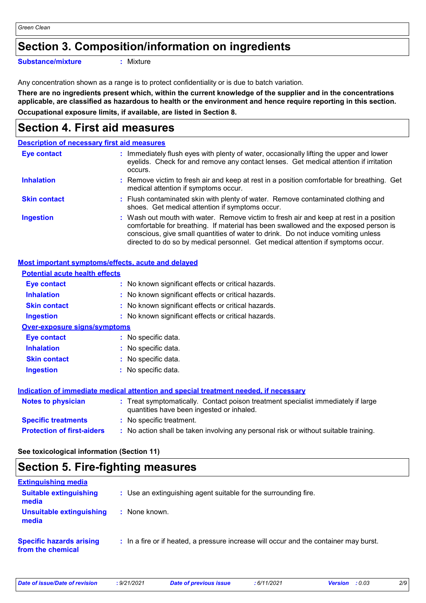### **Section 3. Composition/information on ingredients**

**Substance/mixture :**

: Mixture

Any concentration shown as a range is to protect confidentiality or is due to batch variation.

**There are no ingredients present which, within the current knowledge of the supplier and in the concentrations applicable, are classified as hazardous to health or the environment and hence require reporting in this section. Occupational exposure limits, if available, are listed in Section 8.**

### **Section 4. First aid measures**

|                     | <b>Description of necessary first aid measures</b>                                                                                                                                                                                                                                                                                                     |
|---------------------|--------------------------------------------------------------------------------------------------------------------------------------------------------------------------------------------------------------------------------------------------------------------------------------------------------------------------------------------------------|
| <b>Eye contact</b>  | : Immediately flush eyes with plenty of water, occasionally lifting the upper and lower<br>eyelids. Check for and remove any contact lenses. Get medical attention if irritation<br>occurs.                                                                                                                                                            |
| <b>Inhalation</b>   | : Remove victim to fresh air and keep at rest in a position comfortable for breathing. Get<br>medical attention if symptoms occur.                                                                                                                                                                                                                     |
| <b>Skin contact</b> | : Flush contaminated skin with plenty of water. Remove contaminated clothing and<br>shoes. Get medical attention if symptoms occur.                                                                                                                                                                                                                    |
| <b>Ingestion</b>    | : Wash out mouth with water. Remove victim to fresh air and keep at rest in a position<br>comfortable for breathing. If material has been swallowed and the exposed person is<br>conscious, give small quantities of water to drink. Do not induce vomiting unless<br>directed to do so by medical personnel. Get medical attention if symptoms occur. |

#### **Most important symptoms/effects, acute and delayed**

| <b>Potential acute health effects</b> |                                                                                                                                |
|---------------------------------------|--------------------------------------------------------------------------------------------------------------------------------|
| Eye contact                           | : No known significant effects or critical hazards.                                                                            |
| <b>Inhalation</b>                     | : No known significant effects or critical hazards.                                                                            |
| <b>Skin contact</b>                   | : No known significant effects or critical hazards.                                                                            |
| <b>Ingestion</b>                      | : No known significant effects or critical hazards.                                                                            |
| <b>Over-exposure signs/symptoms</b>   |                                                                                                                                |
| Eye contact                           | : No specific data.                                                                                                            |
| <b>Inhalation</b>                     | : No specific data.                                                                                                            |
| <b>Skin contact</b>                   | $:$ No specific data.                                                                                                          |
| <b>Ingestion</b>                      | : No specific data.                                                                                                            |
|                                       | Indication of immediate medical attention and special treatment needed, if necessary                                           |
| <b>Notes to physician</b>             | : Treat symptomatically. Contact poison treatment specialist immediately if large<br>quantities have been ingested or inhaled. |
| <b>Specific treatments</b>            | : No specific treatment.                                                                                                       |
| <b>Protection of first-aiders</b>     | : No action shall be taken involving any personal risk or without suitable training.                                           |

**See toxicological information (Section 11)**

### **Section 5. Fire-fighting measures**

| <b>Extinguishing media</b>                           |                                                                                       |
|------------------------------------------------------|---------------------------------------------------------------------------------------|
| <b>Suitable extinguishing</b><br>media               | : Use an extinguishing agent suitable for the surrounding fire.                       |
| Unsuitable extinguishing<br>media                    | : None known.                                                                         |
| <b>Specific hazards arising</b><br>from the chemical | : In a fire or if heated, a pressure increase will occur and the container may burst. |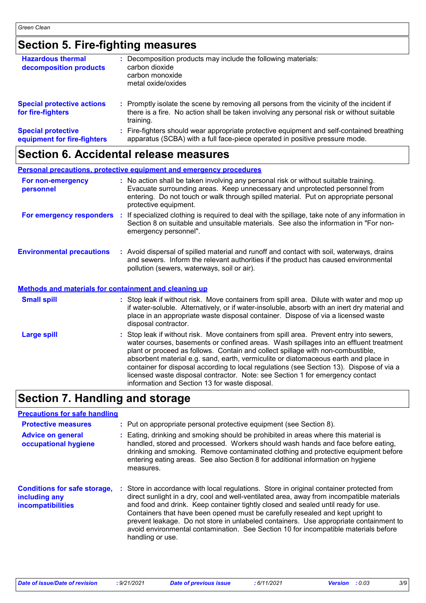# **Section 5. Fire-fighting measures**

| <b>Hazardous thermal</b><br>decomposition products       | Decomposition products may include the following materials:<br>carbon dioxide<br>carbon monoxide<br>metal oxide/oxides                                                                              |
|----------------------------------------------------------|-----------------------------------------------------------------------------------------------------------------------------------------------------------------------------------------------------|
| <b>Special protective actions</b><br>for fire-fighters   | : Promptly isolate the scene by removing all persons from the vicinity of the incident if<br>there is a fire. No action shall be taken involving any personal risk or without suitable<br>training. |
| <b>Special protective</b><br>equipment for fire-fighters | Fire-fighters should wear appropriate protective equipment and self-contained breathing<br>apparatus (SCBA) with a full face-piece operated in positive pressure mode.                              |

## **Section 6. Accidental release measures**

|                                                       | <b>Personal precautions, protective equipment and emergency procedures</b>                                                                                                                                                                                                                                                                                                                                                                                                                                                                                                                 |
|-------------------------------------------------------|--------------------------------------------------------------------------------------------------------------------------------------------------------------------------------------------------------------------------------------------------------------------------------------------------------------------------------------------------------------------------------------------------------------------------------------------------------------------------------------------------------------------------------------------------------------------------------------------|
| For non-emergency<br>personnel                        | : No action shall be taken involving any personal risk or without suitable training.<br>Evacuate surrounding areas. Keep unnecessary and unprotected personnel from<br>entering. Do not touch or walk through spilled material. Put on appropriate personal<br>protective equipment.                                                                                                                                                                                                                                                                                                       |
| For emergency responders                              | : If specialized clothing is required to deal with the spillage, take note of any information in<br>Section 8 on suitable and unsuitable materials. See also the information in "For non-<br>emergency personnel".                                                                                                                                                                                                                                                                                                                                                                         |
| <b>Environmental precautions</b>                      | : Avoid dispersal of spilled material and runoff and contact with soil, waterways, drains<br>and sewers. Inform the relevant authorities if the product has caused environmental<br>pollution (sewers, waterways, soil or air).                                                                                                                                                                                                                                                                                                                                                            |
| Methods and materials for containment and cleaning up |                                                                                                                                                                                                                                                                                                                                                                                                                                                                                                                                                                                            |
| <b>Small spill</b>                                    | : Stop leak if without risk. Move containers from spill area. Dilute with water and mop up<br>if water-soluble. Alternatively, or if water-insoluble, absorb with an inert dry material and<br>place in an appropriate waste disposal container. Dispose of via a licensed waste<br>disposal contractor.                                                                                                                                                                                                                                                                                   |
| <b>Large spill</b>                                    | : Stop leak if without risk. Move containers from spill area. Prevent entry into sewers,<br>water courses, basements or confined areas. Wash spillages into an effluent treatment<br>plant or proceed as follows. Contain and collect spillage with non-combustible,<br>absorbent material e.g. sand, earth, vermiculite or diatomaceous earth and place in<br>container for disposal according to local regulations (see Section 13). Dispose of via a<br>licensed waste disposal contractor. Note: see Section 1 for emergency contact<br>information and Section 13 for waste disposal. |

# **Section 7. Handling and storage**

| <b>Precautions for safe handling</b>                                             |    |                                                                                                                                                                                                                                                                                                                                                                                                                                                                                                                                                                 |
|----------------------------------------------------------------------------------|----|-----------------------------------------------------------------------------------------------------------------------------------------------------------------------------------------------------------------------------------------------------------------------------------------------------------------------------------------------------------------------------------------------------------------------------------------------------------------------------------------------------------------------------------------------------------------|
| <b>Protective measures</b>                                                       |    | : Put on appropriate personal protective equipment (see Section 8).                                                                                                                                                                                                                                                                                                                                                                                                                                                                                             |
| <b>Advice on general</b><br>occupational hygiene                                 |    | Eating, drinking and smoking should be prohibited in areas where this material is<br>handled, stored and processed. Workers should wash hands and face before eating,<br>drinking and smoking. Remove contaminated clothing and protective equipment before<br>entering eating areas. See also Section 8 for additional information on hygiene<br>measures.                                                                                                                                                                                                     |
| <b>Conditions for safe storage,</b><br>including any<br><b>incompatibilities</b> | ÷. | Store in accordance with local regulations. Store in original container protected from<br>direct sunlight in a dry, cool and well-ventilated area, away from incompatible materials<br>and food and drink. Keep container tightly closed and sealed until ready for use.<br>Containers that have been opened must be carefully resealed and kept upright to<br>prevent leakage. Do not store in unlabeled containers. Use appropriate containment to<br>avoid environmental contamination. See Section 10 for incompatible materials before<br>handling or use. |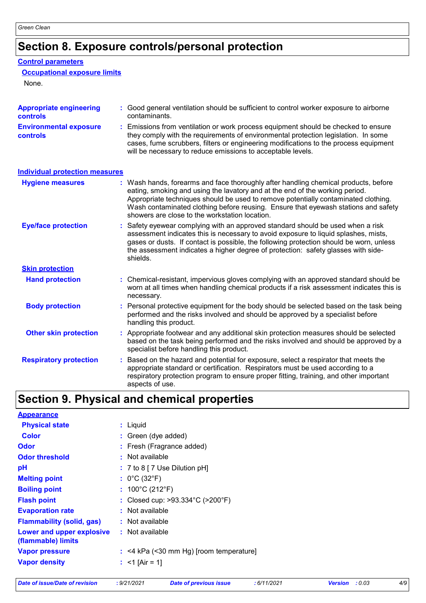# **Section 8. Exposure controls/personal protection**

#### **Control parameters**

#### **Occupational exposure limits**

None.

| <b>Appropriate engineering</b><br><b>controls</b> | : Good general ventilation should be sufficient to control worker exposure to airborne<br>contaminants.                                                                                                                                                                                                                                                                                           |
|---------------------------------------------------|---------------------------------------------------------------------------------------------------------------------------------------------------------------------------------------------------------------------------------------------------------------------------------------------------------------------------------------------------------------------------------------------------|
| <b>Environmental exposure</b><br><b>controls</b>  | : Emissions from ventilation or work process equipment should be checked to ensure<br>they comply with the requirements of environmental protection legislation. In some<br>cases, fume scrubbers, filters or engineering modifications to the process equipment<br>will be necessary to reduce emissions to acceptable levels.                                                                   |
| <b>Individual protection measures</b>             |                                                                                                                                                                                                                                                                                                                                                                                                   |
| <b>Hygiene measures</b>                           | : Wash hands, forearms and face thoroughly after handling chemical products, before<br>eating, smoking and using the lavatory and at the end of the working period.<br>Appropriate techniques should be used to remove potentially contaminated clothing.<br>Wash contaminated clothing before reusing. Ensure that eyewash stations and safety<br>showers are close to the workstation location. |
| <b>Eye/face protection</b>                        | : Safety eyewear complying with an approved standard should be used when a risk<br>assessment indicates this is necessary to avoid exposure to liquid splashes, mists,<br>gases or dusts. If contact is possible, the following protection should be worn, unless<br>the assessment indicates a higher degree of protection: safety glasses with side-<br>shields.                                |
| <b>Skin protection</b>                            |                                                                                                                                                                                                                                                                                                                                                                                                   |
| <b>Hand protection</b>                            | : Chemical-resistant, impervious gloves complying with an approved standard should be<br>worn at all times when handling chemical products if a risk assessment indicates this is<br>necessary.                                                                                                                                                                                                   |
| <b>Body protection</b>                            | : Personal protective equipment for the body should be selected based on the task being<br>performed and the risks involved and should be approved by a specialist before<br>handling this product.                                                                                                                                                                                               |
| <b>Other skin protection</b>                      | : Appropriate footwear and any additional skin protection measures should be selected<br>based on the task being performed and the risks involved and should be approved by a<br>specialist before handling this product.                                                                                                                                                                         |
| <b>Respiratory protection</b>                     | : Based on the hazard and potential for exposure, select a respirator that meets the<br>appropriate standard or certification. Respirators must be used according to a<br>respiratory protection program to ensure proper fitting, training, and other important<br>aspects of use.                                                                                                               |

# **Section 9. Physical and chemical properties**

| <b>Appearance</b>                               |                                                       |
|-------------------------------------------------|-------------------------------------------------------|
| <b>Physical state</b>                           | : Liquid                                              |
| <b>Color</b>                                    | : Green (dye added)                                   |
| <b>Odor</b>                                     | : Fresh (Fragrance added)                             |
| <b>Odor threshold</b>                           | : Not available                                       |
| pH                                              | $: 7$ to 8 [ 7 Use Dilution pH]                       |
| <b>Melting point</b>                            | : $0^{\circ}$ C (32 $^{\circ}$ F)                     |
| <b>Boiling point</b>                            | : $100^{\circ}$ C (212 $^{\circ}$ F)                  |
| <b>Flash point</b>                              | : Closed cup: $>93.334^{\circ}$ C ( $>200^{\circ}$ F) |
| <b>Evaporation rate</b>                         | : Not available                                       |
| <b>Flammability (solid, gas)</b>                | : Not available                                       |
| Lower and upper explosive<br>(flammable) limits | : Not available                                       |
| <b>Vapor pressure</b>                           | $:$ <4 kPa (<30 mm Hg) [room temperature]             |
| <b>Vapor density</b>                            | : $<$ 1 [Air = 1]                                     |
|                                                 |                                                       |

```
Date of issue/Date of revision : 9/21/2021 Date of previous issue : 6/11/2021 Version : 0.03 4/9
```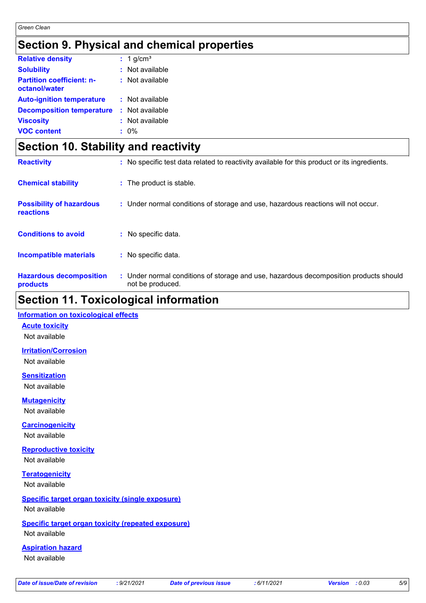### **Section 9. Physical and chemical properties**

| <b>Relative density</b>                           | $: 1$ g/cm <sup>3</sup> |
|---------------------------------------------------|-------------------------|
| <b>Solubility</b>                                 | $:$ Not available       |
| <b>Partition coefficient: n-</b><br>octanol/water | $:$ Not available       |
| <b>Auto-ignition temperature</b>                  | : Not available         |
| <b>Decomposition temperature</b>                  | : Not available         |
| <b>Viscosity</b>                                  | : Not available         |
| <b>VOC content</b>                                | $: 0\%$                 |

### **Section 10. Stability and reactivity**

| <b>Reactivity</b>                            | : No specific test data related to reactivity available for this product or its ingredients.              |
|----------------------------------------------|-----------------------------------------------------------------------------------------------------------|
| <b>Chemical stability</b>                    | : The product is stable.                                                                                  |
| <b>Possibility of hazardous</b><br>reactions | : Under normal conditions of storage and use, hazardous reactions will not occur.                         |
| <b>Conditions to avoid</b>                   | : No specific data.                                                                                       |
| <b>Incompatible materials</b>                | : No specific data.                                                                                       |
| <b>Hazardous decomposition</b><br>products   | : Under normal conditions of storage and use, hazardous decomposition products should<br>not be produced. |

### **Section 11. Toxicological information**

#### **Information on toxicological effects**

**Acute toxicity**

Not available

**Irritation/Corrosion** Not available

**Sensitization** Not available

**Mutagenicity**

Not available

**Carcinogenicity**

Not available

**Reproductive toxicity** Not available

**Teratogenicity** Not available

#### **Specific target organ toxicity (single exposure)** Not available

### **Specific target organ toxicity (repeated exposure)**

Not available

#### **Aspiration hazard**

Not available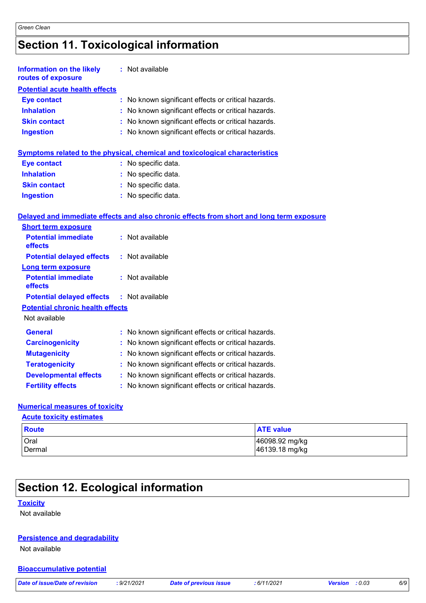# **Section 11. Toxicological information**

| <b>Information on the likely</b><br>routes of exposure | : Not available                                                                          |  |
|--------------------------------------------------------|------------------------------------------------------------------------------------------|--|
| <b>Potential acute health effects</b>                  |                                                                                          |  |
| <b>Eye contact</b>                                     | No known significant effects or critical hazards.<br>t.                                  |  |
| <b>Inhalation</b>                                      | : No known significant effects or critical hazards.                                      |  |
| <b>Skin contact</b>                                    | : No known significant effects or critical hazards.                                      |  |
| <b>Ingestion</b>                                       | No known significant effects or critical hazards.                                        |  |
|                                                        | Symptoms related to the physical, chemical and toxicological characteristics             |  |
| <b>Eye contact</b>                                     | : No specific data.                                                                      |  |
| <b>Inhalation</b>                                      | : No specific data.                                                                      |  |
| <b>Skin contact</b>                                    | : No specific data.                                                                      |  |
| <b>Ingestion</b>                                       | : No specific data.                                                                      |  |
|                                                        | Delayed and immediate effects and also chronic effects from short and long term exposure |  |
| <b>Short term exposure</b>                             |                                                                                          |  |
| <b>Potential immediate</b><br>effects                  | : Not available                                                                          |  |
| <b>Potential delayed effects</b>                       | : Not available                                                                          |  |
| <b>Long term exposure</b>                              |                                                                                          |  |
| <b>Potential immediate</b><br>effects                  | : Not available                                                                          |  |
| <b>Potential delayed effects</b>                       | : Not available                                                                          |  |
| <b>Potential chronic health effects</b>                |                                                                                          |  |
| Not available                                          |                                                                                          |  |
| <b>General</b>                                         | : No known significant effects or critical hazards.                                      |  |
| <b>Carcinogenicity</b>                                 | No known significant effects or critical hazards.                                        |  |
| <b>Mutagenicity</b>                                    | No known significant effects or critical hazards.                                        |  |
| <b>Teratogenicity</b>                                  | : No known significant effects or critical hazards.                                      |  |
| <b>Developmental effects</b>                           | : No known significant effects or critical hazards.                                      |  |
| <b>Fertility effects</b>                               | No known significant effects or critical hazards.                                        |  |

#### **Numerical measures of toxicity**

**Acute toxicity estimates**

| Route         | <b>ATE value</b> |
|---------------|------------------|
| Oral          | 46098.92 mg/kg   |
| <b>Dermal</b> | 46139.18 mg/kg   |

# **Section 12. Ecological information**

#### **Toxicity**

Not available

#### **Persistence and degradability**

Not available

#### **Bioaccumulative potential**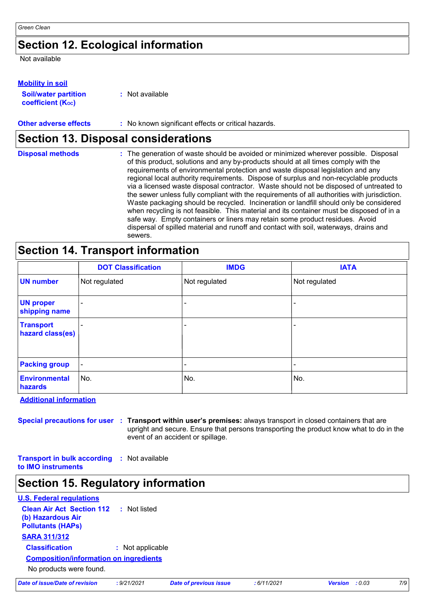### **Section 12. Ecological information**

Not available

#### **Mobility in soil**

| <b>Soil/water partition</b>    | : Not available |
|--------------------------------|-----------------|
| coefficient (K <sub>oc</sub> ) |                 |

### **Other adverse effects** : No known significant effects or critical hazards.

### **Section 13. Disposal considerations**

| <b>Disposal methods</b> | : The generation of waste should be avoided or minimized wherever possible. Disposal<br>of this product, solutions and any by-products should at all times comply with the<br>requirements of environmental protection and waste disposal legislation and any<br>regional local authority requirements. Dispose of surplus and non-recyclable products<br>via a licensed waste disposal contractor. Waste should not be disposed of untreated to<br>the sewer unless fully compliant with the requirements of all authorities with jurisdiction.<br>Waste packaging should be recycled. Incineration or landfill should only be considered<br>when recycling is not feasible. This material and its container must be disposed of in a<br>safe way. Empty containers or liners may retain some product residues. Avoid<br>dispersal of spilled material and runoff and contact with soil, waterways, drains and |
|-------------------------|-----------------------------------------------------------------------------------------------------------------------------------------------------------------------------------------------------------------------------------------------------------------------------------------------------------------------------------------------------------------------------------------------------------------------------------------------------------------------------------------------------------------------------------------------------------------------------------------------------------------------------------------------------------------------------------------------------------------------------------------------------------------------------------------------------------------------------------------------------------------------------------------------------------------|
|                         | sewers.                                                                                                                                                                                                                                                                                                                                                                                                                                                                                                                                                                                                                                                                                                                                                                                                                                                                                                         |

## **Section 14. Transport information**

|                                      | <b>DOT Classification</b> | <b>IMDG</b>   | <b>IATA</b>   |
|--------------------------------------|---------------------------|---------------|---------------|
| <b>UN number</b>                     | Not regulated             | Not regulated | Not regulated |
| <b>UN proper</b><br>shipping name    |                           | -             |               |
| <b>Transport</b><br>hazard class(es) |                           |               |               |
| <b>Packing group</b>                 | $\blacksquare$            | ۰             | -             |
| Environmental<br>hazards             | ∣No.                      | No.           | No.           |

**Additional information**

**Special precautions for user Transport within user's premises:** always transport in closed containers that are **:** upright and secure. Ensure that persons transporting the product know what to do in the event of an accident or spillage.

**Transport in bulk according :** Not available **to IMO instruments**

### **Section 15. Regulatory information**

| <b>U.S. Federal regulations</b>                                                                |                  |  |
|------------------------------------------------------------------------------------------------|------------------|--|
| <b>Clean Air Act Section 112 : Not listed</b><br>(b) Hazardous Air<br><b>Pollutants (HAPs)</b> |                  |  |
| <b>SARA 311/312</b>                                                                            |                  |  |
| <b>Classification</b>                                                                          | : Not applicable |  |
| <b>Composition/information on ingredients</b>                                                  |                  |  |
| No products were found.                                                                        |                  |  |

|  | Date of issue/Date of revision |  |
|--|--------------------------------|--|
|  |                                |  |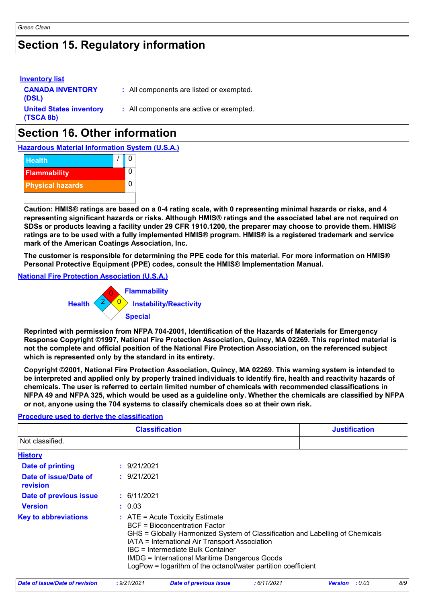### **Section 15. Regulatory information**

| <b>Inventory list</b><br><b>CANADA INVENTORY</b><br>(DSL) | : All components are listed or exempted. |
|-----------------------------------------------------------|------------------------------------------|
| <b>United States inventory</b><br>(TSCA 8b)               | : All components are active or exempted. |

## **Section 16. Other information**

**Hazardous Material Information System (U.S.A.)**



**Caution: HMIS® ratings are based on a 0-4 rating scale, with 0 representing minimal hazards or risks, and 4 representing significant hazards or risks. Although HMIS® ratings and the associated label are not required on SDSs or products leaving a facility under 29 CFR 1910.1200, the preparer may choose to provide them. HMIS® ratings are to be used with a fully implemented HMIS® program. HMIS® is a registered trademark and service mark of the American Coatings Association, Inc.**

**The customer is responsible for determining the PPE code for this material. For more information on HMIS® Personal Protective Equipment (PPE) codes, consult the HMIS® Implementation Manual.**

**National Fire Protection Association (U.S.A.)**



**Reprinted with permission from NFPA 704-2001, Identification of the Hazards of Materials for Emergency Response Copyright ©1997, National Fire Protection Association, Quincy, MA 02269. This reprinted material is not the complete and official position of the National Fire Protection Association, on the referenced subject which is represented only by the standard in its entirety.**

**Copyright ©2001, National Fire Protection Association, Quincy, MA 02269. This warning system is intended to be interpreted and applied only by properly trained individuals to identify fire, health and reactivity hazards of chemicals. The user is referred to certain limited number of chemicals with recommended classifications in NFPA 49 and NFPA 325, which would be used as a guideline only. Whether the chemicals are classified by NFPA or not, anyone using the 704 systems to classify chemicals does so at their own risk.**

#### **Procedure used to derive the classification**

|                                   | <b>Classification</b>                                                                                                                                                                                                             | <b>Justification</b>                                                                                                                           |  |
|-----------------------------------|-----------------------------------------------------------------------------------------------------------------------------------------------------------------------------------------------------------------------------------|------------------------------------------------------------------------------------------------------------------------------------------------|--|
| Not classified.                   |                                                                                                                                                                                                                                   |                                                                                                                                                |  |
| <b>History</b>                    |                                                                                                                                                                                                                                   |                                                                                                                                                |  |
| Date of printing                  | : 9/21/2021                                                                                                                                                                                                                       |                                                                                                                                                |  |
| Date of issue/Date of<br>revision | : 9/21/2021                                                                                                                                                                                                                       |                                                                                                                                                |  |
| Date of previous issue            | : 6/11/2021                                                                                                                                                                                                                       |                                                                                                                                                |  |
| <b>Version</b>                    | : 0.03                                                                                                                                                                                                                            |                                                                                                                                                |  |
| <b>Key to abbreviations</b>       | $\therefore$ ATE = Acute Toxicity Estimate<br><b>BCF</b> = Bioconcentration Factor<br>IATA = International Air Transport Association<br>IBC = Intermediate Bulk Container<br><b>IMDG = International Maritime Dangerous Goods</b> | GHS = Globally Harmonized System of Classification and Labelling of Chemicals<br>LogPow = logarithm of the octanol/water partition coefficient |  |